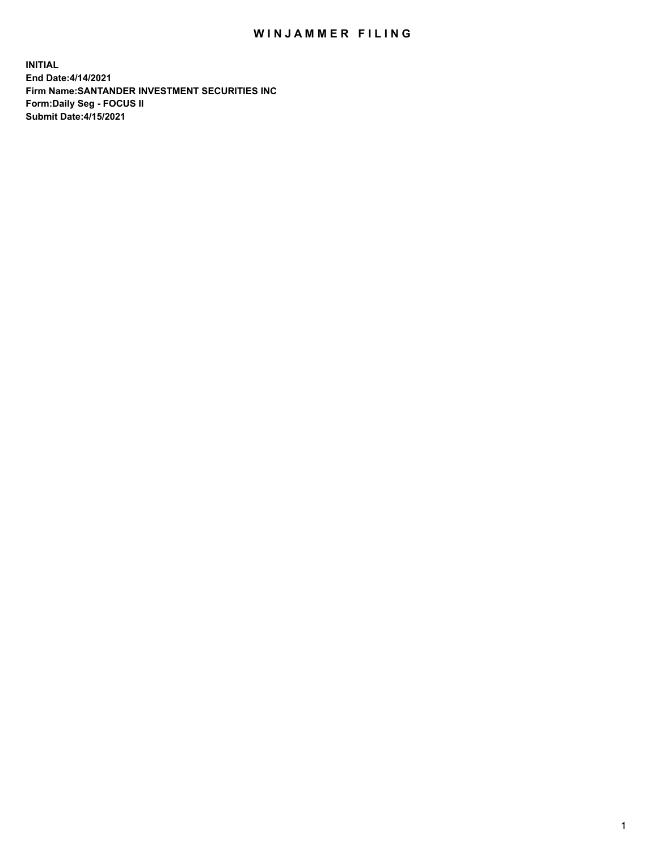## WIN JAMMER FILING

**INITIAL End Date:4/14/2021 Firm Name:SANTANDER INVESTMENT SECURITIES INC Form:Daily Seg - FOCUS II Submit Date:4/15/2021**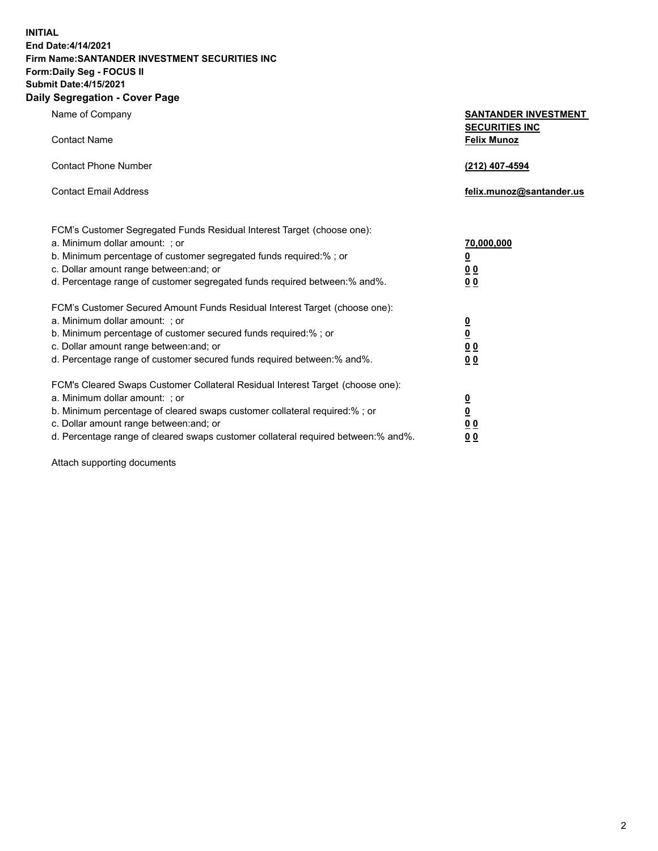**INITIAL End Date:4/14/2021 Firm Name:SANTANDER INVESTMENT SECURITIES INC Form:Daily Seg - FOCUS II Submit Date:4/15/2021 Daily Segregation - Cover Page**

| Name of Company                                                                   | <b>SANTANDER INVESTMENT</b><br><b>SECURITIES INC</b> |
|-----------------------------------------------------------------------------------|------------------------------------------------------|
| <b>Contact Name</b>                                                               | <b>Felix Munoz</b>                                   |
| <b>Contact Phone Number</b>                                                       | (212) 407-4594                                       |
| <b>Contact Email Address</b>                                                      | felix.munoz@santander.us                             |
| FCM's Customer Segregated Funds Residual Interest Target (choose one):            |                                                      |
| a. Minimum dollar amount: ; or                                                    | 70,000,000                                           |
| b. Minimum percentage of customer segregated funds required:%; or                 | <u>0</u>                                             |
| c. Dollar amount range between: and; or                                           | 0 <sub>0</sub>                                       |
| d. Percentage range of customer segregated funds required between:% and%.         | 0 <sub>0</sub>                                       |
| FCM's Customer Secured Amount Funds Residual Interest Target (choose one):        |                                                      |
| a. Minimum dollar amount: ; or                                                    | $\frac{0}{0}$                                        |
| b. Minimum percentage of customer secured funds required:%; or                    |                                                      |
| c. Dollar amount range between: and; or                                           | 0 <sub>0</sub>                                       |
| d. Percentage range of customer secured funds required between:% and%.            | 0 <sub>0</sub>                                       |
| FCM's Cleared Swaps Customer Collateral Residual Interest Target (choose one):    |                                                      |
| a. Minimum dollar amount: ; or                                                    | $\overline{\mathbf{0}}$                              |
| b. Minimum percentage of cleared swaps customer collateral required:% ; or        | $\underline{\mathbf{0}}$                             |
| c. Dollar amount range between: and; or                                           | 0 <sub>0</sub>                                       |
| d. Percentage range of cleared swaps customer collateral required between:% and%. | <u>00</u>                                            |

Attach supporting documents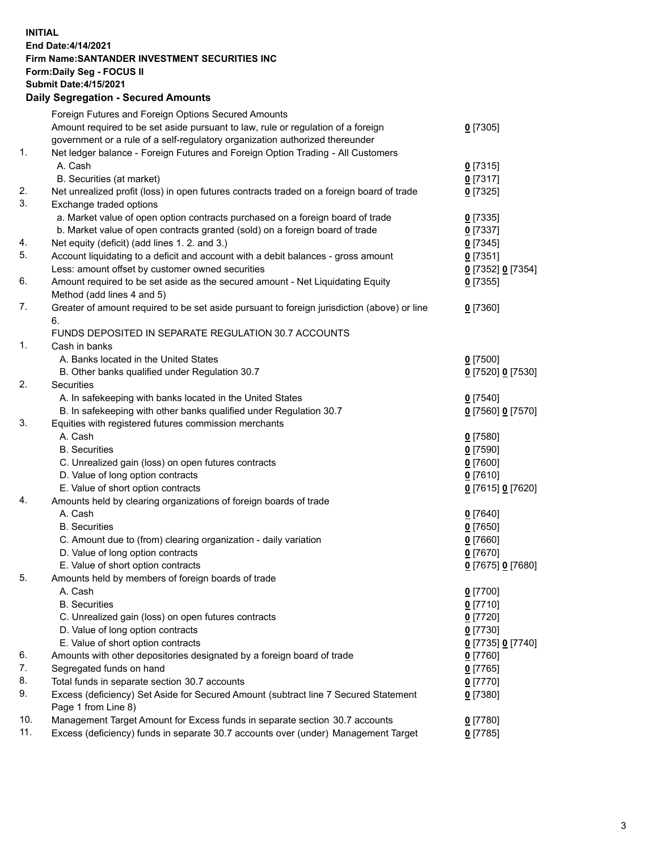**INITIAL End Date:4/14/2021 Firm Name:SANTANDER INVESTMENT SECURITIES INC Form:Daily Seg - FOCUS II Submit Date:4/15/2021 Daily Segregation - Secured Amounts**

|     | Foreign Futures and Foreign Options Secured Amounts                                         |                                 |
|-----|---------------------------------------------------------------------------------------------|---------------------------------|
|     | Amount required to be set aside pursuant to law, rule or regulation of a foreign            | $0$ [7305]                      |
|     | government or a rule of a self-regulatory organization authorized thereunder                |                                 |
| 1.  | Net ledger balance - Foreign Futures and Foreign Option Trading - All Customers             |                                 |
|     | A. Cash                                                                                     | $0$ [7315]                      |
|     | B. Securities (at market)                                                                   | $0$ [7317]                      |
| 2.  | Net unrealized profit (loss) in open futures contracts traded on a foreign board of trade   | $0$ [7325]                      |
| 3.  | Exchange traded options                                                                     |                                 |
|     | a. Market value of open option contracts purchased on a foreign board of trade              | $0$ [7335]                      |
|     | b. Market value of open contracts granted (sold) on a foreign board of trade                | $0$ [7337]                      |
| 4.  | Net equity (deficit) (add lines 1. 2. and 3.)                                               | $0$ [7345]                      |
| 5.  | Account liquidating to a deficit and account with a debit balances - gross amount           | $0$ [7351]                      |
|     | Less: amount offset by customer owned securities                                            | 0 [7352] 0 [7354]               |
| 6.  | Amount required to be set aside as the secured amount - Net Liquidating Equity              | $0$ [7355]                      |
|     | Method (add lines 4 and 5)                                                                  |                                 |
| 7.  | Greater of amount required to be set aside pursuant to foreign jurisdiction (above) or line | $0$ [7360]                      |
|     | 6.                                                                                          |                                 |
|     | FUNDS DEPOSITED IN SEPARATE REGULATION 30.7 ACCOUNTS                                        |                                 |
| 1.  | Cash in banks                                                                               |                                 |
|     | A. Banks located in the United States                                                       | $0$ [7500]                      |
|     | B. Other banks qualified under Regulation 30.7                                              | 0 [7520] 0 [7530]               |
| 2.  | Securities                                                                                  |                                 |
|     | A. In safekeeping with banks located in the United States                                   | $0$ [7540]                      |
|     | B. In safekeeping with other banks qualified under Regulation 30.7                          | 0 [7560] 0 [7570]               |
| 3.  | Equities with registered futures commission merchants                                       |                                 |
|     | A. Cash                                                                                     | $0$ [7580]                      |
|     | <b>B.</b> Securities                                                                        | $0$ [7590]                      |
|     | C. Unrealized gain (loss) on open futures contracts                                         | $0$ [7600]                      |
|     | D. Value of long option contracts                                                           | $0$ [7610]                      |
|     | E. Value of short option contracts                                                          | 0 [7615] 0 [7620]               |
| 4.  | Amounts held by clearing organizations of foreign boards of trade                           |                                 |
|     | A. Cash                                                                                     | $0$ [7640]                      |
|     | <b>B.</b> Securities                                                                        | $0$ [7650]                      |
|     | C. Amount due to (from) clearing organization - daily variation                             | $0$ [7660]                      |
|     | D. Value of long option contracts                                                           | $0$ [7670]                      |
| 5.  | E. Value of short option contracts                                                          | 0 [7675] 0 [7680]               |
|     | Amounts held by members of foreign boards of trade<br>A. Cash                               |                                 |
|     |                                                                                             | 0 [7700]<br>$0$ [7710]          |
|     | <b>B.</b> Securities                                                                        |                                 |
|     | C. Unrealized gain (loss) on open futures contracts<br>D. Value of long option contracts    | $0$ [7720]<br>$0$ [7730]        |
|     | E. Value of short option contracts                                                          |                                 |
| 6.  | Amounts with other depositories designated by a foreign board of trade                      | 0 [7735] 0 [7740]<br>$0$ [7760] |
| 7.  | Segregated funds on hand                                                                    | $0$ [7765]                      |
| 8.  | Total funds in separate section 30.7 accounts                                               | $0$ [7770]                      |
| 9.  | Excess (deficiency) Set Aside for Secured Amount (subtract line 7 Secured Statement         | $0$ [7380]                      |
|     | Page 1 from Line 8)                                                                         |                                 |
| 10. | Management Target Amount for Excess funds in separate section 30.7 accounts                 | $0$ [7780]                      |
| 11. | Excess (deficiency) funds in separate 30.7 accounts over (under) Management Target          | $0$ [7785]                      |
|     |                                                                                             |                                 |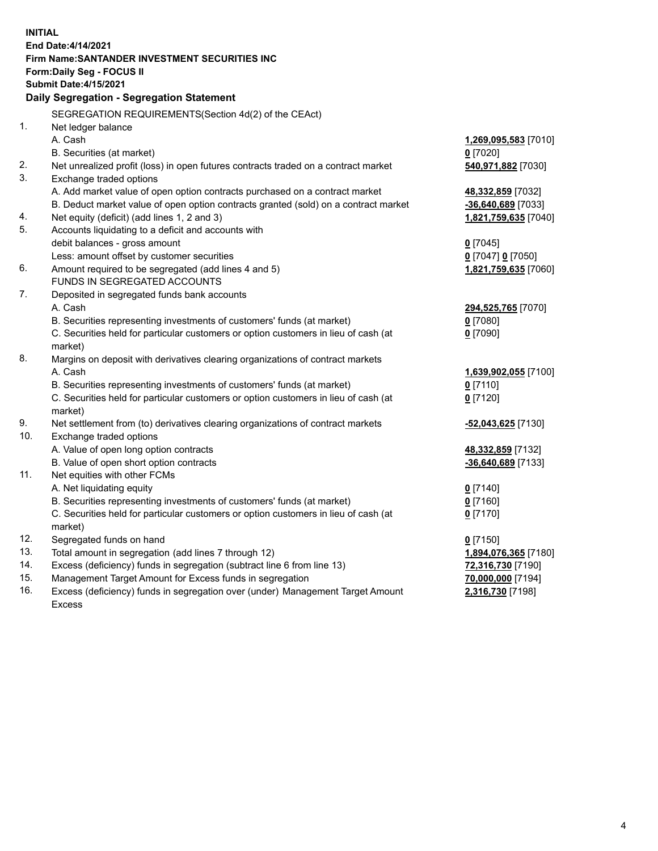| End Date: 4/14/2021<br>Firm Name: SANTANDER INVESTMENT SECURITIES INC<br>Form: Daily Seg - FOCUS II<br><b>Submit Date: 4/15/2021</b><br>Daily Segregation - Segregation Statement<br>SEGREGATION REQUIREMENTS(Section 4d(2) of the CEAct)<br>1.<br>Net ledger balance<br>A. Cash<br>1,269,095,583 [7010]<br>B. Securities (at market)<br>$0$ [7020]<br>2.<br>Net unrealized profit (loss) in open futures contracts traded on a contract market<br>540,971,882 [7030]<br>3.<br>Exchange traded options<br>A. Add market value of open option contracts purchased on a contract market<br>48,332,859 [7032]<br>B. Deduct market value of open option contracts granted (sold) on a contract market<br>-36,640,689 [7033]<br>Net equity (deficit) (add lines 1, 2 and 3)<br>4.<br>1,821,759,635 [7040]<br>5.<br>Accounts liquidating to a deficit and accounts with<br>debit balances - gross amount<br>$0$ [7045]<br>Less: amount offset by customer securities<br>0 [7047] 0 [7050]<br>6.<br>Amount required to be segregated (add lines 4 and 5)<br>1,821,759,635 [7060]<br>FUNDS IN SEGREGATED ACCOUNTS<br>7.<br>Deposited in segregated funds bank accounts<br>A. Cash<br>294,525,765 [7070]<br>B. Securities representing investments of customers' funds (at market)<br>$0$ [7080]<br>C. Securities held for particular customers or option customers in lieu of cash (at<br>$0$ [7090]<br>market)<br>8.<br>Margins on deposit with derivatives clearing organizations of contract markets<br>A. Cash<br>1,639,902,055 [7100]<br>B. Securities representing investments of customers' funds (at market)<br>$0$ [7110]<br>C. Securities held for particular customers or option customers in lieu of cash (at<br>$0$ [7120]<br>market)<br>9.<br>Net settlement from (to) derivatives clearing organizations of contract markets<br>-52,043,625 [7130]<br>10.<br>Exchange traded options<br>A. Value of open long option contracts<br>48,332,859 [7132]<br>B. Value of open short option contracts<br>$-36,640,689$ [7133]<br>11.<br>Net equities with other FCMs<br>A. Net liquidating equity<br>$0$ [7140]<br>$0$ [7160]<br>B. Securities representing investments of customers' funds (at market)<br>C. Securities held for particular customers or option customers in lieu of cash (at<br>$0$ [7170]<br>market)<br>12.<br>Segregated funds on hand<br>$0$ [7150]<br>13.<br>Total amount in segregation (add lines 7 through 12)<br>1,894,076,365 [7180]<br>14.<br>Excess (deficiency) funds in segregation (subtract line 6 from line 13)<br>72,316,730 [7190] | <b>INITIAL</b> |                                                          |                   |  |  |  |  |
|------------------------------------------------------------------------------------------------------------------------------------------------------------------------------------------------------------------------------------------------------------------------------------------------------------------------------------------------------------------------------------------------------------------------------------------------------------------------------------------------------------------------------------------------------------------------------------------------------------------------------------------------------------------------------------------------------------------------------------------------------------------------------------------------------------------------------------------------------------------------------------------------------------------------------------------------------------------------------------------------------------------------------------------------------------------------------------------------------------------------------------------------------------------------------------------------------------------------------------------------------------------------------------------------------------------------------------------------------------------------------------------------------------------------------------------------------------------------------------------------------------------------------------------------------------------------------------------------------------------------------------------------------------------------------------------------------------------------------------------------------------------------------------------------------------------------------------------------------------------------------------------------------------------------------------------------------------------------------------------------------------------------------------------------------------------------------------------------------------------------------------------------------------------------------------------------------------------------------------------------------------------------------------------------------------------------------------------------------------------------------------------------------------------------------------------------------------------------------------------------------------------------------------------------------------------------|----------------|----------------------------------------------------------|-------------------|--|--|--|--|
|                                                                                                                                                                                                                                                                                                                                                                                                                                                                                                                                                                                                                                                                                                                                                                                                                                                                                                                                                                                                                                                                                                                                                                                                                                                                                                                                                                                                                                                                                                                                                                                                                                                                                                                                                                                                                                                                                                                                                                                                                                                                                                                                                                                                                                                                                                                                                                                                                                                                                                                                                                        |                |                                                          |                   |  |  |  |  |
|                                                                                                                                                                                                                                                                                                                                                                                                                                                                                                                                                                                                                                                                                                                                                                                                                                                                                                                                                                                                                                                                                                                                                                                                                                                                                                                                                                                                                                                                                                                                                                                                                                                                                                                                                                                                                                                                                                                                                                                                                                                                                                                                                                                                                                                                                                                                                                                                                                                                                                                                                                        |                |                                                          |                   |  |  |  |  |
|                                                                                                                                                                                                                                                                                                                                                                                                                                                                                                                                                                                                                                                                                                                                                                                                                                                                                                                                                                                                                                                                                                                                                                                                                                                                                                                                                                                                                                                                                                                                                                                                                                                                                                                                                                                                                                                                                                                                                                                                                                                                                                                                                                                                                                                                                                                                                                                                                                                                                                                                                                        |                |                                                          |                   |  |  |  |  |
|                                                                                                                                                                                                                                                                                                                                                                                                                                                                                                                                                                                                                                                                                                                                                                                                                                                                                                                                                                                                                                                                                                                                                                                                                                                                                                                                                                                                                                                                                                                                                                                                                                                                                                                                                                                                                                                                                                                                                                                                                                                                                                                                                                                                                                                                                                                                                                                                                                                                                                                                                                        |                |                                                          |                   |  |  |  |  |
|                                                                                                                                                                                                                                                                                                                                                                                                                                                                                                                                                                                                                                                                                                                                                                                                                                                                                                                                                                                                                                                                                                                                                                                                                                                                                                                                                                                                                                                                                                                                                                                                                                                                                                                                                                                                                                                                                                                                                                                                                                                                                                                                                                                                                                                                                                                                                                                                                                                                                                                                                                        |                |                                                          |                   |  |  |  |  |
|                                                                                                                                                                                                                                                                                                                                                                                                                                                                                                                                                                                                                                                                                                                                                                                                                                                                                                                                                                                                                                                                                                                                                                                                                                                                                                                                                                                                                                                                                                                                                                                                                                                                                                                                                                                                                                                                                                                                                                                                                                                                                                                                                                                                                                                                                                                                                                                                                                                                                                                                                                        |                |                                                          |                   |  |  |  |  |
|                                                                                                                                                                                                                                                                                                                                                                                                                                                                                                                                                                                                                                                                                                                                                                                                                                                                                                                                                                                                                                                                                                                                                                                                                                                                                                                                                                                                                                                                                                                                                                                                                                                                                                                                                                                                                                                                                                                                                                                                                                                                                                                                                                                                                                                                                                                                                                                                                                                                                                                                                                        |                |                                                          |                   |  |  |  |  |
|                                                                                                                                                                                                                                                                                                                                                                                                                                                                                                                                                                                                                                                                                                                                                                                                                                                                                                                                                                                                                                                                                                                                                                                                                                                                                                                                                                                                                                                                                                                                                                                                                                                                                                                                                                                                                                                                                                                                                                                                                                                                                                                                                                                                                                                                                                                                                                                                                                                                                                                                                                        |                |                                                          |                   |  |  |  |  |
|                                                                                                                                                                                                                                                                                                                                                                                                                                                                                                                                                                                                                                                                                                                                                                                                                                                                                                                                                                                                                                                                                                                                                                                                                                                                                                                                                                                                                                                                                                                                                                                                                                                                                                                                                                                                                                                                                                                                                                                                                                                                                                                                                                                                                                                                                                                                                                                                                                                                                                                                                                        |                |                                                          |                   |  |  |  |  |
|                                                                                                                                                                                                                                                                                                                                                                                                                                                                                                                                                                                                                                                                                                                                                                                                                                                                                                                                                                                                                                                                                                                                                                                                                                                                                                                                                                                                                                                                                                                                                                                                                                                                                                                                                                                                                                                                                                                                                                                                                                                                                                                                                                                                                                                                                                                                                                                                                                                                                                                                                                        |                |                                                          |                   |  |  |  |  |
|                                                                                                                                                                                                                                                                                                                                                                                                                                                                                                                                                                                                                                                                                                                                                                                                                                                                                                                                                                                                                                                                                                                                                                                                                                                                                                                                                                                                                                                                                                                                                                                                                                                                                                                                                                                                                                                                                                                                                                                                                                                                                                                                                                                                                                                                                                                                                                                                                                                                                                                                                                        |                |                                                          |                   |  |  |  |  |
|                                                                                                                                                                                                                                                                                                                                                                                                                                                                                                                                                                                                                                                                                                                                                                                                                                                                                                                                                                                                                                                                                                                                                                                                                                                                                                                                                                                                                                                                                                                                                                                                                                                                                                                                                                                                                                                                                                                                                                                                                                                                                                                                                                                                                                                                                                                                                                                                                                                                                                                                                                        |                |                                                          |                   |  |  |  |  |
|                                                                                                                                                                                                                                                                                                                                                                                                                                                                                                                                                                                                                                                                                                                                                                                                                                                                                                                                                                                                                                                                                                                                                                                                                                                                                                                                                                                                                                                                                                                                                                                                                                                                                                                                                                                                                                                                                                                                                                                                                                                                                                                                                                                                                                                                                                                                                                                                                                                                                                                                                                        |                |                                                          |                   |  |  |  |  |
|                                                                                                                                                                                                                                                                                                                                                                                                                                                                                                                                                                                                                                                                                                                                                                                                                                                                                                                                                                                                                                                                                                                                                                                                                                                                                                                                                                                                                                                                                                                                                                                                                                                                                                                                                                                                                                                                                                                                                                                                                                                                                                                                                                                                                                                                                                                                                                                                                                                                                                                                                                        |                |                                                          |                   |  |  |  |  |
|                                                                                                                                                                                                                                                                                                                                                                                                                                                                                                                                                                                                                                                                                                                                                                                                                                                                                                                                                                                                                                                                                                                                                                                                                                                                                                                                                                                                                                                                                                                                                                                                                                                                                                                                                                                                                                                                                                                                                                                                                                                                                                                                                                                                                                                                                                                                                                                                                                                                                                                                                                        |                |                                                          |                   |  |  |  |  |
|                                                                                                                                                                                                                                                                                                                                                                                                                                                                                                                                                                                                                                                                                                                                                                                                                                                                                                                                                                                                                                                                                                                                                                                                                                                                                                                                                                                                                                                                                                                                                                                                                                                                                                                                                                                                                                                                                                                                                                                                                                                                                                                                                                                                                                                                                                                                                                                                                                                                                                                                                                        |                |                                                          |                   |  |  |  |  |
|                                                                                                                                                                                                                                                                                                                                                                                                                                                                                                                                                                                                                                                                                                                                                                                                                                                                                                                                                                                                                                                                                                                                                                                                                                                                                                                                                                                                                                                                                                                                                                                                                                                                                                                                                                                                                                                                                                                                                                                                                                                                                                                                                                                                                                                                                                                                                                                                                                                                                                                                                                        |                |                                                          |                   |  |  |  |  |
|                                                                                                                                                                                                                                                                                                                                                                                                                                                                                                                                                                                                                                                                                                                                                                                                                                                                                                                                                                                                                                                                                                                                                                                                                                                                                                                                                                                                                                                                                                                                                                                                                                                                                                                                                                                                                                                                                                                                                                                                                                                                                                                                                                                                                                                                                                                                                                                                                                                                                                                                                                        |                |                                                          |                   |  |  |  |  |
|                                                                                                                                                                                                                                                                                                                                                                                                                                                                                                                                                                                                                                                                                                                                                                                                                                                                                                                                                                                                                                                                                                                                                                                                                                                                                                                                                                                                                                                                                                                                                                                                                                                                                                                                                                                                                                                                                                                                                                                                                                                                                                                                                                                                                                                                                                                                                                                                                                                                                                                                                                        |                |                                                          |                   |  |  |  |  |
|                                                                                                                                                                                                                                                                                                                                                                                                                                                                                                                                                                                                                                                                                                                                                                                                                                                                                                                                                                                                                                                                                                                                                                                                                                                                                                                                                                                                                                                                                                                                                                                                                                                                                                                                                                                                                                                                                                                                                                                                                                                                                                                                                                                                                                                                                                                                                                                                                                                                                                                                                                        |                |                                                          |                   |  |  |  |  |
|                                                                                                                                                                                                                                                                                                                                                                                                                                                                                                                                                                                                                                                                                                                                                                                                                                                                                                                                                                                                                                                                                                                                                                                                                                                                                                                                                                                                                                                                                                                                                                                                                                                                                                                                                                                                                                                                                                                                                                                                                                                                                                                                                                                                                                                                                                                                                                                                                                                                                                                                                                        |                |                                                          |                   |  |  |  |  |
|                                                                                                                                                                                                                                                                                                                                                                                                                                                                                                                                                                                                                                                                                                                                                                                                                                                                                                                                                                                                                                                                                                                                                                                                                                                                                                                                                                                                                                                                                                                                                                                                                                                                                                                                                                                                                                                                                                                                                                                                                                                                                                                                                                                                                                                                                                                                                                                                                                                                                                                                                                        |                |                                                          |                   |  |  |  |  |
|                                                                                                                                                                                                                                                                                                                                                                                                                                                                                                                                                                                                                                                                                                                                                                                                                                                                                                                                                                                                                                                                                                                                                                                                                                                                                                                                                                                                                                                                                                                                                                                                                                                                                                                                                                                                                                                                                                                                                                                                                                                                                                                                                                                                                                                                                                                                                                                                                                                                                                                                                                        |                |                                                          |                   |  |  |  |  |
|                                                                                                                                                                                                                                                                                                                                                                                                                                                                                                                                                                                                                                                                                                                                                                                                                                                                                                                                                                                                                                                                                                                                                                                                                                                                                                                                                                                                                                                                                                                                                                                                                                                                                                                                                                                                                                                                                                                                                                                                                                                                                                                                                                                                                                                                                                                                                                                                                                                                                                                                                                        |                |                                                          |                   |  |  |  |  |
|                                                                                                                                                                                                                                                                                                                                                                                                                                                                                                                                                                                                                                                                                                                                                                                                                                                                                                                                                                                                                                                                                                                                                                                                                                                                                                                                                                                                                                                                                                                                                                                                                                                                                                                                                                                                                                                                                                                                                                                                                                                                                                                                                                                                                                                                                                                                                                                                                                                                                                                                                                        |                |                                                          |                   |  |  |  |  |
|                                                                                                                                                                                                                                                                                                                                                                                                                                                                                                                                                                                                                                                                                                                                                                                                                                                                                                                                                                                                                                                                                                                                                                                                                                                                                                                                                                                                                                                                                                                                                                                                                                                                                                                                                                                                                                                                                                                                                                                                                                                                                                                                                                                                                                                                                                                                                                                                                                                                                                                                                                        |                |                                                          |                   |  |  |  |  |
|                                                                                                                                                                                                                                                                                                                                                                                                                                                                                                                                                                                                                                                                                                                                                                                                                                                                                                                                                                                                                                                                                                                                                                                                                                                                                                                                                                                                                                                                                                                                                                                                                                                                                                                                                                                                                                                                                                                                                                                                                                                                                                                                                                                                                                                                                                                                                                                                                                                                                                                                                                        |                |                                                          |                   |  |  |  |  |
|                                                                                                                                                                                                                                                                                                                                                                                                                                                                                                                                                                                                                                                                                                                                                                                                                                                                                                                                                                                                                                                                                                                                                                                                                                                                                                                                                                                                                                                                                                                                                                                                                                                                                                                                                                                                                                                                                                                                                                                                                                                                                                                                                                                                                                                                                                                                                                                                                                                                                                                                                                        |                |                                                          |                   |  |  |  |  |
|                                                                                                                                                                                                                                                                                                                                                                                                                                                                                                                                                                                                                                                                                                                                                                                                                                                                                                                                                                                                                                                                                                                                                                                                                                                                                                                                                                                                                                                                                                                                                                                                                                                                                                                                                                                                                                                                                                                                                                                                                                                                                                                                                                                                                                                                                                                                                                                                                                                                                                                                                                        |                |                                                          |                   |  |  |  |  |
|                                                                                                                                                                                                                                                                                                                                                                                                                                                                                                                                                                                                                                                                                                                                                                                                                                                                                                                                                                                                                                                                                                                                                                                                                                                                                                                                                                                                                                                                                                                                                                                                                                                                                                                                                                                                                                                                                                                                                                                                                                                                                                                                                                                                                                                                                                                                                                                                                                                                                                                                                                        |                |                                                          |                   |  |  |  |  |
|                                                                                                                                                                                                                                                                                                                                                                                                                                                                                                                                                                                                                                                                                                                                                                                                                                                                                                                                                                                                                                                                                                                                                                                                                                                                                                                                                                                                                                                                                                                                                                                                                                                                                                                                                                                                                                                                                                                                                                                                                                                                                                                                                                                                                                                                                                                                                                                                                                                                                                                                                                        |                |                                                          |                   |  |  |  |  |
|                                                                                                                                                                                                                                                                                                                                                                                                                                                                                                                                                                                                                                                                                                                                                                                                                                                                                                                                                                                                                                                                                                                                                                                                                                                                                                                                                                                                                                                                                                                                                                                                                                                                                                                                                                                                                                                                                                                                                                                                                                                                                                                                                                                                                                                                                                                                                                                                                                                                                                                                                                        |                |                                                          |                   |  |  |  |  |
|                                                                                                                                                                                                                                                                                                                                                                                                                                                                                                                                                                                                                                                                                                                                                                                                                                                                                                                                                                                                                                                                                                                                                                                                                                                                                                                                                                                                                                                                                                                                                                                                                                                                                                                                                                                                                                                                                                                                                                                                                                                                                                                                                                                                                                                                                                                                                                                                                                                                                                                                                                        |                |                                                          |                   |  |  |  |  |
|                                                                                                                                                                                                                                                                                                                                                                                                                                                                                                                                                                                                                                                                                                                                                                                                                                                                                                                                                                                                                                                                                                                                                                                                                                                                                                                                                                                                                                                                                                                                                                                                                                                                                                                                                                                                                                                                                                                                                                                                                                                                                                                                                                                                                                                                                                                                                                                                                                                                                                                                                                        |                |                                                          |                   |  |  |  |  |
|                                                                                                                                                                                                                                                                                                                                                                                                                                                                                                                                                                                                                                                                                                                                                                                                                                                                                                                                                                                                                                                                                                                                                                                                                                                                                                                                                                                                                                                                                                                                                                                                                                                                                                                                                                                                                                                                                                                                                                                                                                                                                                                                                                                                                                                                                                                                                                                                                                                                                                                                                                        |                |                                                          |                   |  |  |  |  |
|                                                                                                                                                                                                                                                                                                                                                                                                                                                                                                                                                                                                                                                                                                                                                                                                                                                                                                                                                                                                                                                                                                                                                                                                                                                                                                                                                                                                                                                                                                                                                                                                                                                                                                                                                                                                                                                                                                                                                                                                                                                                                                                                                                                                                                                                                                                                                                                                                                                                                                                                                                        |                |                                                          |                   |  |  |  |  |
|                                                                                                                                                                                                                                                                                                                                                                                                                                                                                                                                                                                                                                                                                                                                                                                                                                                                                                                                                                                                                                                                                                                                                                                                                                                                                                                                                                                                                                                                                                                                                                                                                                                                                                                                                                                                                                                                                                                                                                                                                                                                                                                                                                                                                                                                                                                                                                                                                                                                                                                                                                        |                |                                                          |                   |  |  |  |  |
|                                                                                                                                                                                                                                                                                                                                                                                                                                                                                                                                                                                                                                                                                                                                                                                                                                                                                                                                                                                                                                                                                                                                                                                                                                                                                                                                                                                                                                                                                                                                                                                                                                                                                                                                                                                                                                                                                                                                                                                                                                                                                                                                                                                                                                                                                                                                                                                                                                                                                                                                                                        |                |                                                          |                   |  |  |  |  |
|                                                                                                                                                                                                                                                                                                                                                                                                                                                                                                                                                                                                                                                                                                                                                                                                                                                                                                                                                                                                                                                                                                                                                                                                                                                                                                                                                                                                                                                                                                                                                                                                                                                                                                                                                                                                                                                                                                                                                                                                                                                                                                                                                                                                                                                                                                                                                                                                                                                                                                                                                                        |                |                                                          |                   |  |  |  |  |
|                                                                                                                                                                                                                                                                                                                                                                                                                                                                                                                                                                                                                                                                                                                                                                                                                                                                                                                                                                                                                                                                                                                                                                                                                                                                                                                                                                                                                                                                                                                                                                                                                                                                                                                                                                                                                                                                                                                                                                                                                                                                                                                                                                                                                                                                                                                                                                                                                                                                                                                                                                        |                |                                                          |                   |  |  |  |  |
|                                                                                                                                                                                                                                                                                                                                                                                                                                                                                                                                                                                                                                                                                                                                                                                                                                                                                                                                                                                                                                                                                                                                                                                                                                                                                                                                                                                                                                                                                                                                                                                                                                                                                                                                                                                                                                                                                                                                                                                                                                                                                                                                                                                                                                                                                                                                                                                                                                                                                                                                                                        | 15.            | Management Target Amount for Excess funds in segregation | 70,000,000 [7194] |  |  |  |  |
| 16.<br>Excess (deficiency) funds in segregation over (under) Management Target Amount<br>2,316,730 [7198]                                                                                                                                                                                                                                                                                                                                                                                                                                                                                                                                                                                                                                                                                                                                                                                                                                                                                                                                                                                                                                                                                                                                                                                                                                                                                                                                                                                                                                                                                                                                                                                                                                                                                                                                                                                                                                                                                                                                                                                                                                                                                                                                                                                                                                                                                                                                                                                                                                                              |                |                                                          |                   |  |  |  |  |
| <b>Excess</b>                                                                                                                                                                                                                                                                                                                                                                                                                                                                                                                                                                                                                                                                                                                                                                                                                                                                                                                                                                                                                                                                                                                                                                                                                                                                                                                                                                                                                                                                                                                                                                                                                                                                                                                                                                                                                                                                                                                                                                                                                                                                                                                                                                                                                                                                                                                                                                                                                                                                                                                                                          |                |                                                          |                   |  |  |  |  |